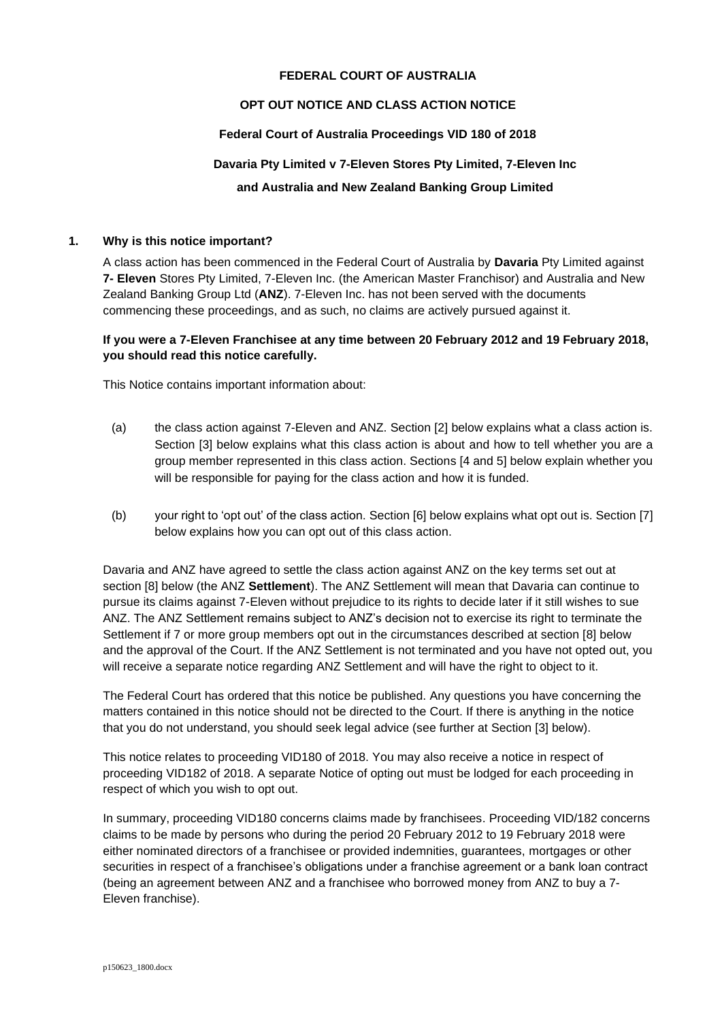## **FEDERAL COURT OF AUSTRALIA**

# **OPT OUT NOTICE AND CLASS ACTION NOTICE**

### **Federal Court of Australia Proceedings VID 180 of 2018**

# **Davaria Pty Limited v 7-Eleven Stores Pty Limited, 7-Eleven Inc**

## **and Australia and New Zealand Banking Group Limited**

#### **1. Why is this notice important?**

A class action has been commenced in the Federal Court of Australia by **Davaria** Pty Limited against **7- Eleven** Stores Pty Limited, 7-Eleven Inc. (the American Master Franchisor) and Australia and New Zealand Banking Group Ltd (**ANZ**). 7-Eleven Inc. has not been served with the documents commencing these proceedings, and as such, no claims are actively pursued against it.

# **If you were a 7-Eleven Franchisee at any time between 20 February 2012 and 19 February 2018, you should read this notice carefully.**

This Notice contains important information about:

- (a) the class action against 7-Eleven and ANZ. Section [2] below explains what a class action is. Section [3] below explains what this class action is about and how to tell whether you are a group member represented in this class action. Sections [4 and 5] below explain whether you will be responsible for paying for the class action and how it is funded.
- (b) your right to 'opt out' of the class action. Section [6] below explains what opt out is. Section [7] below explains how you can opt out of this class action.

Davaria and ANZ have agreed to settle the class action against ANZ on the key terms set out at section [8] below (the ANZ **Settlement**). The ANZ Settlement will mean that Davaria can continue to pursue its claims against 7-Eleven without prejudice to its rights to decide later if it still wishes to sue ANZ. The ANZ Settlement remains subject to ANZ's decision not to exercise its right to terminate the Settlement if 7 or more group members opt out in the circumstances described at section [8] below and the approval of the Court. If the ANZ Settlement is not terminated and you have not opted out, you will receive a separate notice regarding ANZ Settlement and will have the right to object to it.

The Federal Court has ordered that this notice be published. Any questions you have concerning the matters contained in this notice should not be directed to the Court. If there is anything in the notice that you do not understand, you should seek legal advice (see further at Section [3] below).

This notice relates to proceeding VID180 of 2018. You may also receive a notice in respect of proceeding VID182 of 2018. A separate Notice of opting out must be lodged for each proceeding in respect of which you wish to opt out.

In summary, proceeding VID180 concerns claims made by franchisees. Proceeding VID/182 concerns claims to be made by persons who during the period 20 February 2012 to 19 February 2018 were either nominated directors of a franchisee or provided indemnities, guarantees, mortgages or other securities in respect of a franchisee's obligations under a franchise agreement or a bank loan contract (being an agreement between ANZ and a franchisee who borrowed money from ANZ to buy a 7- Eleven franchise).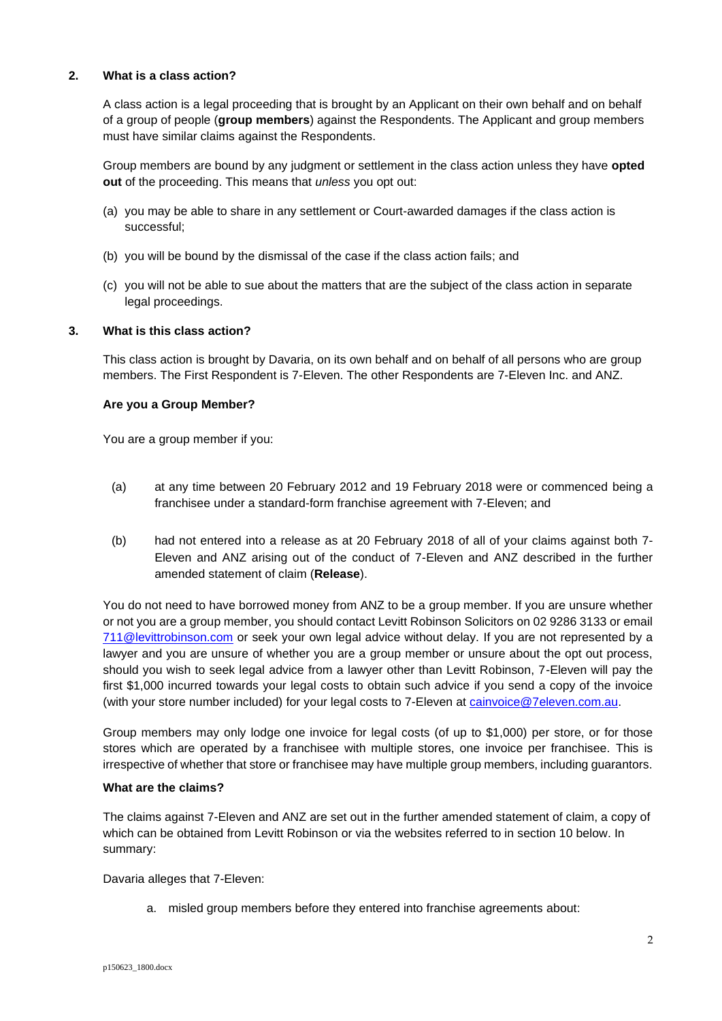### **2. What is a class action?**

A class action is a legal proceeding that is brought by an Applicant on their own behalf and on behalf of a group of people (**group members**) against the Respondents. The Applicant and group members must have similar claims against the Respondents.

Group members are bound by any judgment or settlement in the class action unless they have **opted out** of the proceeding. This means that *unless* you opt out:

- (a) you may be able to share in any settlement or Court-awarded damages if the class action is successful;
- (b) you will be bound by the dismissal of the case if the class action fails; and
- (c) you will not be able to sue about the matters that are the subject of the class action in separate legal proceedings.

### **3. What is this class action?**

This class action is brought by Davaria, on its own behalf and on behalf of all persons who are group members. The First Respondent is 7-Eleven. The other Respondents are 7-Eleven Inc. and ANZ.

#### **Are you a Group Member?**

You are a group member if you:

- (a) at any time between 20 February 2012 and 19 February 2018 were or commenced being a franchisee under a standard-form franchise agreement with 7-Eleven; and
- (b) had not entered into a release as at 20 February 2018 of all of your claims against both 7- Eleven and ANZ arising out of the conduct of 7-Eleven and ANZ described in the further amended statement of claim (**Release**).

You do not need to have borrowed money from ANZ to be a group member. If you are unsure whether or not you are a group member, you should contact Levitt Robinson Solicitors on 02 9286 3133 or email [711@levittrobinson.com](mailto:711@levittrobinson.com) or seek your own legal advice without delay. If you are not represented by a lawyer and you are unsure of whether you are a group member or unsure about the opt out process, should you wish to seek legal advice from a lawyer other than Levitt Robinson, 7-Eleven will pay the first \$1,000 incurred towards your legal costs to obtain such advice if you send a copy of the invoice (with your store number included) for your legal costs to 7-Eleven at [cainvoice@7eleven.com.au.](mailto:cainvoice@7eleven.com.au)

Group members may only lodge one invoice for legal costs (of up to \$1,000) per store, or for those stores which are operated by a franchisee with multiple stores, one invoice per franchisee. This is irrespective of whether that store or franchisee may have multiple group members, including guarantors.

#### **What are the claims?**

The claims against 7-Eleven and ANZ are set out in the further amended statement of claim, a copy of which can be obtained from Levitt Robinson or via the websites referred to in section 10 below. In summary:

Davaria alleges that 7-Eleven:

a. misled group members before they entered into franchise agreements about: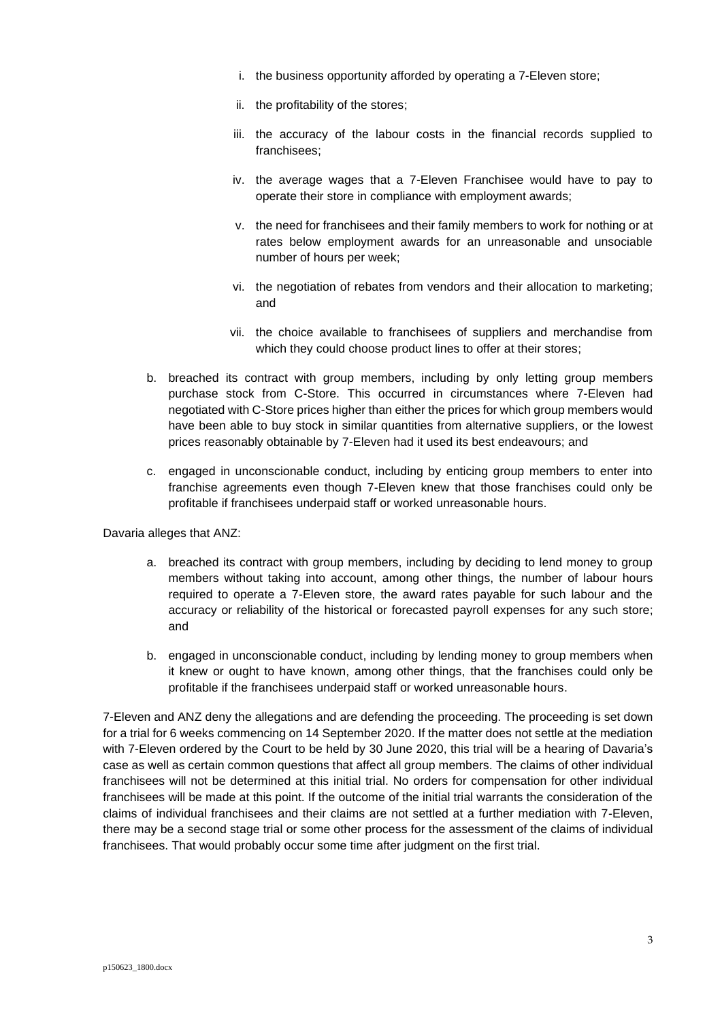- i. the business opportunity afforded by operating a 7-Eleven store;
- ii. the profitability of the stores;
- iii. the accuracy of the labour costs in the financial records supplied to franchisees;
- iv. the average wages that a 7-Eleven Franchisee would have to pay to operate their store in compliance with employment awards;
- v. the need for franchisees and their family members to work for nothing or at rates below employment awards for an unreasonable and unsociable number of hours per week;
- vi. the negotiation of rebates from vendors and their allocation to marketing; and
- vii. the choice available to franchisees of suppliers and merchandise from which they could choose product lines to offer at their stores;
- b. breached its contract with group members, including by only letting group members purchase stock from C-Store. This occurred in circumstances where 7-Eleven had negotiated with C-Store prices higher than either the prices for which group members would have been able to buy stock in similar quantities from alternative suppliers, or the lowest prices reasonably obtainable by 7-Eleven had it used its best endeavours; and
- c. engaged in unconscionable conduct, including by enticing group members to enter into franchise agreements even though 7-Eleven knew that those franchises could only be profitable if franchisees underpaid staff or worked unreasonable hours.

Davaria alleges that ANZ:

- a. breached its contract with group members, including by deciding to lend money to group members without taking into account, among other things, the number of labour hours required to operate a 7-Eleven store, the award rates payable for such labour and the accuracy or reliability of the historical or forecasted payroll expenses for any such store; and
- b. engaged in unconscionable conduct, including by lending money to group members when it knew or ought to have known, among other things, that the franchises could only be profitable if the franchisees underpaid staff or worked unreasonable hours.

7-Eleven and ANZ deny the allegations and are defending the proceeding. The proceeding is set down for a trial for 6 weeks commencing on 14 September 2020. If the matter does not settle at the mediation with 7-Eleven ordered by the Court to be held by 30 June 2020, this trial will be a hearing of Davaria's case as well as certain common questions that affect all group members. The claims of other individual franchisees will not be determined at this initial trial. No orders for compensation for other individual franchisees will be made at this point. If the outcome of the initial trial warrants the consideration of the claims of individual franchisees and their claims are not settled at a further mediation with 7-Eleven, there may be a second stage trial or some other process for the assessment of the claims of individual franchisees. That would probably occur some time after judgment on the first trial.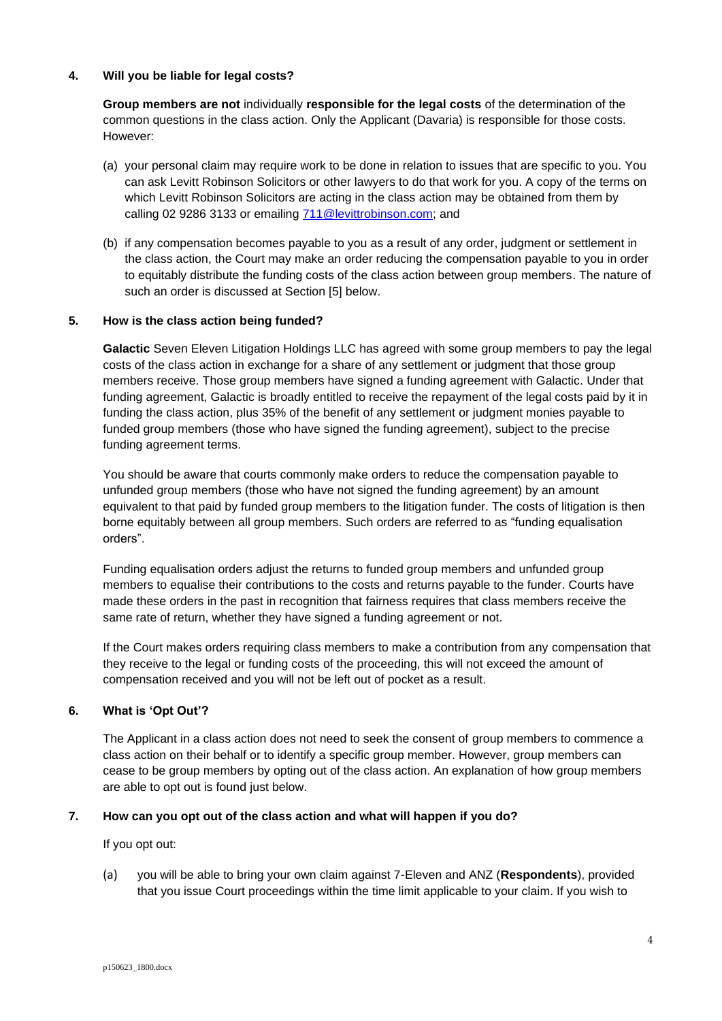### **4. Will you be liable for legal costs?**

**Group members are not** individually **responsible for the legal costs** of the determination of the common questions in the class action. Only the Applicant (Davaria) is responsible for those costs. However:

- (a) your personal claim may require work to be done in relation to issues that are specific to you. You can ask Levitt Robinson Solicitors or other lawyers to do that work for you. A copy of the terms on which Levitt Robinson Solicitors are acting in the class action may be obtained from them by calling 02 9286 3133 or emailing [711@levittrobinson.com;](mailto:711@levittrobinson.com) and
- (b) if any compensation becomes payable to you as a result of any order, judgment or settlement in the class action, the Court may make an order reducing the compensation payable to you in order to equitably distribute the funding costs of the class action between group members. The nature of such an order is discussed at Section [5] below.

### **5. How is the class action being funded?**

**Galactic** Seven Eleven Litigation Holdings LLC has agreed with some group members to pay the legal costs of the class action in exchange for a share of any settlement or judgment that those group members receive. Those group members have signed a funding agreement with Galactic. Under that funding agreement, Galactic is broadly entitled to receive the repayment of the legal costs paid by it in funding the class action, plus 35% of the benefit of any settlement or judgment monies payable to funded group members (those who have signed the funding agreement), subject to the precise funding agreement terms.

You should be aware that courts commonly make orders to reduce the compensation payable to unfunded group members (those who have not signed the funding agreement) by an amount equivalent to that paid by funded group members to the litigation funder. The costs of litigation is then borne equitably between all group members. Such orders are referred to as "funding equalisation orders".

Funding equalisation orders adjust the returns to funded group members and unfunded group members to equalise their contributions to the costs and returns payable to the funder. Courts have made these orders in the past in recognition that fairness requires that class members receive the same rate of return, whether they have signed a funding agreement or not.

If the Court makes orders requiring class members to make a contribution from any compensation that they receive to the legal or funding costs of the proceeding, this will not exceed the amount of compensation received and you will not be left out of pocket as a result.

# **6. What is 'Opt Out'?**

The Applicant in a class action does not need to seek the consent of group members to commence a class action on their behalf or to identify a specific group member. However, group members can cease to be group members by opting out of the class action. An explanation of how group members are able to opt out is found just below.

# **7. How can you opt out of the class action and what will happen if you do?**

If you opt out:

(a) you will be able to bring your own claim against 7-Eleven and ANZ (**Respondents**), provided that you issue Court proceedings within the time limit applicable to your claim. If you wish to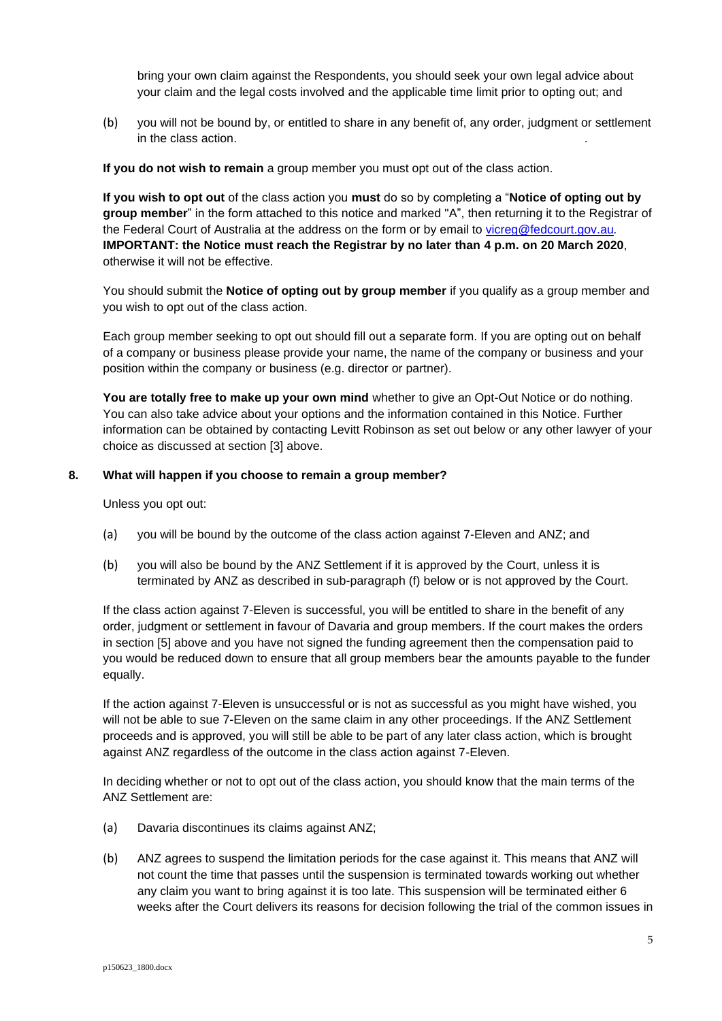bring your own claim against the Respondents, you should seek your own legal advice about your claim and the legal costs involved and the applicable time limit prior to opting out; and

(b) you will not be bound by, or entitled to share in any benefit of, any order, judgment or settlement in the class action. .

**If you do not wish to remain** a group member you must opt out of the class action.

**If you wish to opt out** of the class action you **must** do so by completing a "**Notice of opting out by group member**" in the form attached to this notice and marked "A", then returning it to the Registrar of the Federal Court of Australia at the address on the form or by email to [vicreg@fedcourt.gov.au](mailto:vicreg@fedcourt.gov.au)*.*  **IMPORTANT: the Notice must reach the Registrar by no later than 4 p.m. on 20 March 2020**, otherwise it will not be effective.

You should submit the **Notice of opting out by group member** if you qualify as a group member and you wish to opt out of the class action.

Each group member seeking to opt out should fill out a separate form. If you are opting out on behalf of a company or business please provide your name, the name of the company or business and your position within the company or business (e.g. director or partner).

**You are totally free to make up your own mind** whether to give an Opt-Out Notice or do nothing. You can also take advice about your options and the information contained in this Notice. Further information can be obtained by contacting Levitt Robinson as set out below or any other lawyer of your choice as discussed at section [3] above.

### **8. What will happen if you choose to remain a group member?**

Unless you opt out:

- (a) you will be bound by the outcome of the class action against 7-Eleven and ANZ; and
- (b) you will also be bound by the ANZ Settlement if it is approved by the Court, unless it is terminated by ANZ as described in sub-paragraph (f) below or is not approved by the Court.

If the class action against 7-Eleven is successful, you will be entitled to share in the benefit of any order, judgment or settlement in favour of Davaria and group members. If the court makes the orders in section [5] above and you have not signed the funding agreement then the compensation paid to you would be reduced down to ensure that all group members bear the amounts payable to the funder equally.

If the action against 7-Eleven is unsuccessful or is not as successful as you might have wished, you will not be able to sue 7-Eleven on the same claim in any other proceedings. If the ANZ Settlement proceeds and is approved, you will still be able to be part of any later class action, which is brought against ANZ regardless of the outcome in the class action against 7-Eleven.

In deciding whether or not to opt out of the class action, you should know that the main terms of the ANZ Settlement are:

- (a) Davaria discontinues its claims against ANZ;
- (b) ANZ agrees to suspend the limitation periods for the case against it. This means that ANZ will not count the time that passes until the suspension is terminated towards working out whether any claim you want to bring against it is too late. This suspension will be terminated either 6 weeks after the Court delivers its reasons for decision following the trial of the common issues in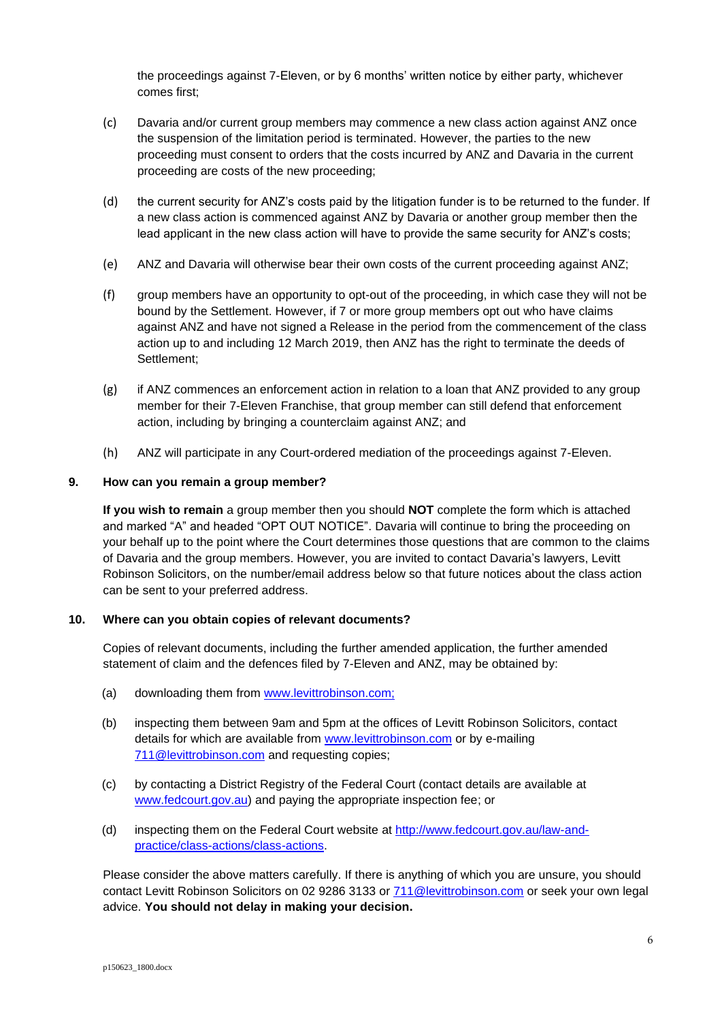the proceedings against 7-Eleven, or by 6 months' written notice by either party, whichever comes first;

- (c) Davaria and/or current group members may commence a new class action against ANZ once the suspension of the limitation period is terminated. However, the parties to the new proceeding must consent to orders that the costs incurred by ANZ and Davaria in the current proceeding are costs of the new proceeding;
- (d) the current security for ANZ's costs paid by the litigation funder is to be returned to the funder. If a new class action is commenced against ANZ by Davaria or another group member then the lead applicant in the new class action will have to provide the same security for ANZ's costs;
- (e) ANZ and Davaria will otherwise bear their own costs of the current proceeding against ANZ;
- (f) group members have an opportunity to opt-out of the proceeding, in which case they will not be bound by the Settlement. However, if 7 or more group members opt out who have claims against ANZ and have not signed a Release in the period from the commencement of the class action up to and including 12 March 2019, then ANZ has the right to terminate the deeds of Settlement;
- (g) if ANZ commences an enforcement action in relation to a loan that ANZ provided to any group member for their 7-Eleven Franchise, that group member can still defend that enforcement action, including by bringing a counterclaim against ANZ; and
- (h) ANZ will participate in any Court-ordered mediation of the proceedings against 7-Eleven.

### **9. How can you remain a group member?**

**If you wish to remain** a group member then you should **NOT** complete the form which is attached and marked "A" and headed "OPT OUT NOTICE". Davaria will continue to bring the proceeding on your behalf up to the point where the Court determines those questions that are common to the claims of Davaria and the group members. However, you are invited to contact Davaria's lawyers, Levitt Robinson Solicitors, on the number/email address below so that future notices about the class action can be sent to your preferred address.

# **10. Where can you obtain copies of relevant documents?**

Copies of relevant documents, including the further amended application, the further amended statement of claim and the defences filed by 7-Eleven and ANZ, may be obtained by:

- (a) downloading them from [www.levittrobinson.com;](http://www.levittrobinson.com/)
- (b) inspecting them between 9am and 5pm at the offices of Levitt Robinson Solicitors, contact details for which are available from [www.levittrobinson.com](http://www.levittrobinson.com/) or by e-mailing [711@levittrobinson.com](mailto:711@levittrobinson.com) and requesting copies;
- (c) by contacting a District Registry of the Federal Court (contact details are available at [www.fedcourt.gov.au\)](http://www.fedcourt.gov.au/) and paying the appropriate inspection fee; or
- (d) inspecting them on the Federal Court website at [http://www.fedcourt.gov.au/law-and](http://www.fedcourt.gov.au/law-and-practice/class-actions/class-actions)[practice/class-actions/class-actions.](http://www.fedcourt.gov.au/law-and-practice/class-actions/class-actions)

Please consider the above matters carefully. If there is anything of which you are unsure, you should contact Levitt Robinson Solicitors on 02 9286 3133 or [711@levittrobinson.com](mailto:711@levittrobinson.com) or seek your own legal advice. **You should not delay in making your decision.**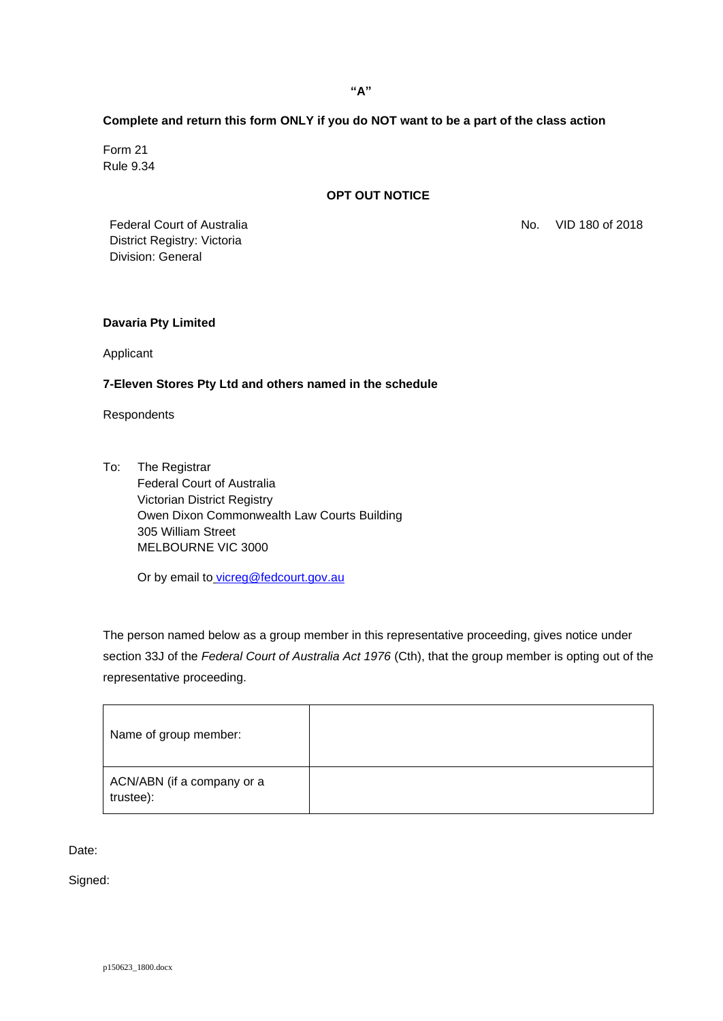# **Complete and return this form ONLY if you do NOT want to be a part of the class action**

Form 21 Rule 9.34

# **OPT OUT NOTICE**

No. VID 180 of 2018

Federal Court of Australia District Registry: Victoria Division: General

### **Davaria Pty Limited**

Applicant

### **7-Eleven Stores Pty Ltd and others named in the schedule**

Respondents

To: The Registrar Federal Court of Australia Victorian District Registry [Owen Dixon Commonwealth Law Courts Building](http://maps.google.com.au/maps?q=305+William+Street,+Victoria,+Australia&hl=en&sll=-32.010396,135.119128&sspn=87.286008,213.574219&oq=305+William+Street,+Victoria,+australia&hnear=305+William+St,+Melbourne+Victoria+3000&t=m&z=16) [305 William Street](http://maps.google.com.au/maps?q=305+William+Street,+Victoria,+Australia&hl=en&sll=-32.010396,135.119128&sspn=87.286008,213.574219&oq=305+William+Street,+Victoria,+australia&hnear=305+William+St,+Melbourne+Victoria+3000&t=m&z=16) MELBOURNE VIC 3000

Or by email to [vicreg@fedcourt.gov.au](mailto:vicreg@fedcourt.gov.au)

The person named below as a group member in this representative proceeding, gives notice under section 33J of the *Federal Court of Australia Act 1976* (Cth), that the group member is opting out of the representative proceeding.

| Name of group member:                   |  |
|-----------------------------------------|--|
| ACN/ABN (if a company or a<br>trustee): |  |

Date:

Signed: